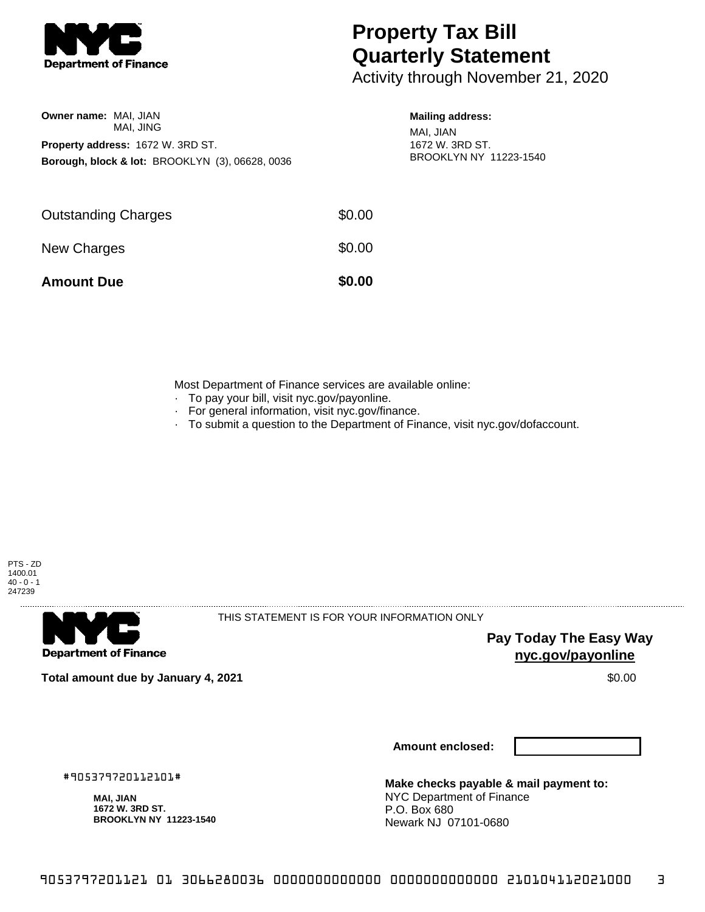

## **Property Tax Bill Quarterly Statement**

Activity through November 21, 2020

| <b>Owner name: MAI, JIAN</b>      |                                                            |  |  |  |  |
|-----------------------------------|------------------------------------------------------------|--|--|--|--|
|                                   | MAI. JING                                                  |  |  |  |  |
| Property address: 1672 W. 3RD ST. |                                                            |  |  |  |  |
|                                   | <b>Borough, block &amp; lot: BROOKLYN (3), 06628, 0036</b> |  |  |  |  |

## **Mailing address:**

MAI, JIAN 1672 W. 3RD ST. BROOKLYN NY 11223-1540

| <b>Amount Due</b>          | \$0.00 |
|----------------------------|--------|
| New Charges                | \$0.00 |
| <b>Outstanding Charges</b> | \$0.00 |

Most Department of Finance services are available online:

- · To pay your bill, visit nyc.gov/payonline.
- For general information, visit nyc.gov/finance.
- · To submit a question to the Department of Finance, visit nyc.gov/dofaccount.



**Department of Finance** 

THIS STATEMENT IS FOR YOUR INFORMATION ONLY

**Pay Today The Easy Way nyc.gov/payonline**

**Total amount due by January 4, 2021** \$0.00

**Amount enclosed:**

#905379720112101#

**MAI, JIAN 1672 W. 3RD ST. BROOKLYN NY 11223-1540**

**Make checks payable & mail payment to:** NYC Department of Finance P.O. Box 680 Newark NJ 07101-0680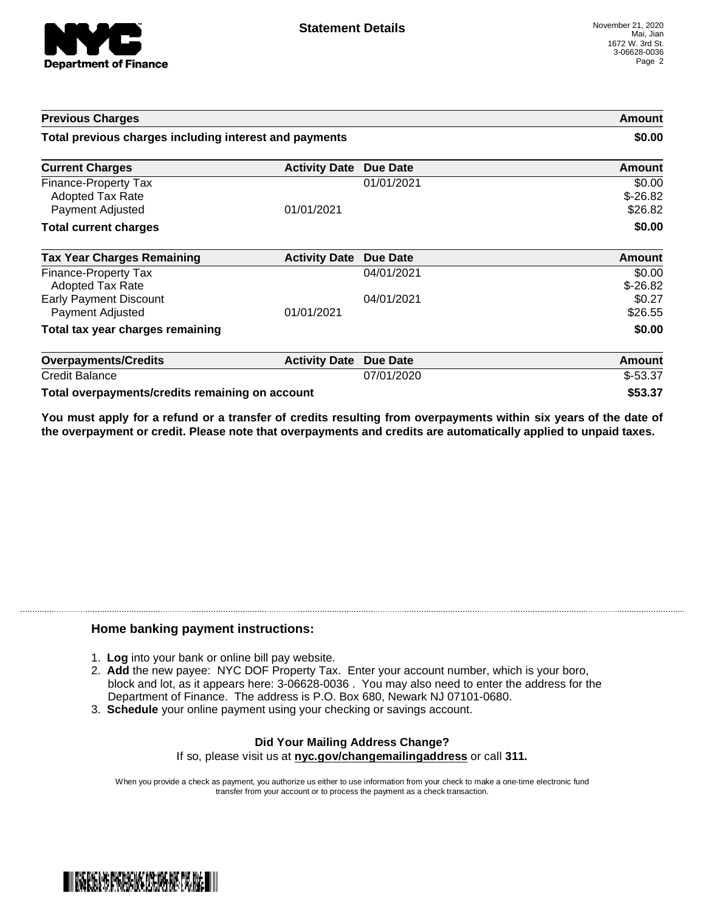

| <b>Previous Charges</b><br>Total previous charges including interest and payments |                      |                 | Amount<br>\$0.00               |
|-----------------------------------------------------------------------------------|----------------------|-----------------|--------------------------------|
|                                                                                   |                      |                 |                                |
| Finance-Property Tax<br><b>Adopted Tax Rate</b><br>Payment Adjusted               | 01/01/2021           | 01/01/2021      | \$0.00<br>$$-26.82$<br>\$26.82 |
| <b>Total current charges</b>                                                      |                      |                 | \$0.00                         |
| <b>Tax Year Charges Remaining</b>                                                 | <b>Activity Date</b> | Due Date        | Amount                         |
| Finance-Property Tax<br>Adopted Tax Rate                                          |                      | 04/01/2021      | \$0.00<br>$$-26.82$            |
| <b>Early Payment Discount</b><br>Payment Adjusted                                 | 01/01/2021           | 04/01/2021      | \$0.27<br>\$26.55              |
| Total tax year charges remaining                                                  |                      |                 | \$0.00                         |
| <b>Overpayments/Credits</b>                                                       | <b>Activity Date</b> | <b>Due Date</b> | Amount                         |
| <b>Credit Balance</b>                                                             |                      | 07/01/2020      | $$-53.37$                      |
| Total overpayments/credits remaining on account                                   |                      |                 | \$53.37                        |

You must apply for a refund or a transfer of credits resulting from overpayments within six years of the date of **the overpayment or credit. Please note that overpayments and credits are automatically applied to unpaid taxes.**

## **Home banking payment instructions:**

- 1. **Log** into your bank or online bill pay website.
- 2. **Add** the new payee: NYC DOF Property Tax. Enter your account number, which is your boro, block and lot, as it appears here: 3-06628-0036 . You may also need to enter the address for the Department of Finance. The address is P.O. Box 680, Newark NJ 07101-0680.
- 3. **Schedule** your online payment using your checking or savings account.

## **Did Your Mailing Address Change?** If so, please visit us at **nyc.gov/changemailingaddress** or call **311.**

When you provide a check as payment, you authorize us either to use information from your check to make a one-time electronic fund transfer from your account or to process the payment as a check transaction.